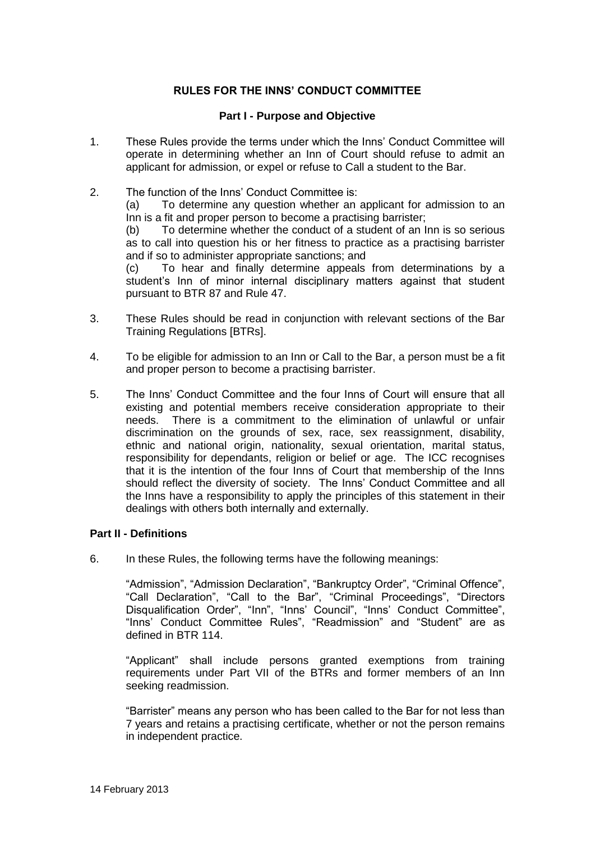# **RULES FOR THE INNS' CONDUCT COMMITTEE**

### **Part I - Purpose and Objective**

- 1. These Rules provide the terms under which the Inns' Conduct Committee will operate in determining whether an Inn of Court should refuse to admit an applicant for admission, or expel or refuse to Call a student to the Bar.
- 2. The function of the Inns' Conduct Committee is: (a) To determine any question whether an applicant for admission to an Inn is a fit and proper person to become a practising barrister; (b) To determine whether the conduct of a student of an Inn is so serious as to call into question his or her fitness to practice as a practising barrister and if so to administer appropriate sanctions; and (c) To hear and finally determine appeals from determinations by a student's Inn of minor internal disciplinary matters against that student pursuant to BTR 87 and Rule 47.
- 3. These Rules should be read in conjunction with relevant sections of the Bar Training Regulations [BTRs].
- 4. To be eligible for admission to an Inn or Call to the Bar, a person must be a fit and proper person to become a practising barrister.
- 5. The Inns' Conduct Committee and the four Inns of Court will ensure that all existing and potential members receive consideration appropriate to their needs. There is a commitment to the elimination of unlawful or unfair discrimination on the grounds of sex, race, sex reassignment, disability, ethnic and national origin, nationality, sexual orientation, marital status, responsibility for dependants, religion or belief or age. The ICC recognises that it is the intention of the four Inns of Court that membership of the Inns should reflect the diversity of society. The Inns' Conduct Committee and all the Inns have a responsibility to apply the principles of this statement in their dealings with others both internally and externally.

## **Part II - Definitions**

6. In these Rules, the following terms have the following meanings:

"Admission", "Admission Declaration", "Bankruptcy Order", "Criminal Offence", "Call Declaration", "Call to the Bar", "Criminal Proceedings", "Directors Disqualification Order", "Inn", "Inns' Council", "Inns' Conduct Committee", "Inns' Conduct Committee Rules", "Readmission" and "Student" are as defined in BTR 114.

"Applicant" shall include persons granted exemptions from training requirements under Part VII of the BTRs and former members of an Inn seeking readmission.

"Barrister" means any person who has been called to the Bar for not less than 7 years and retains a practising certificate, whether or not the person remains in independent practice.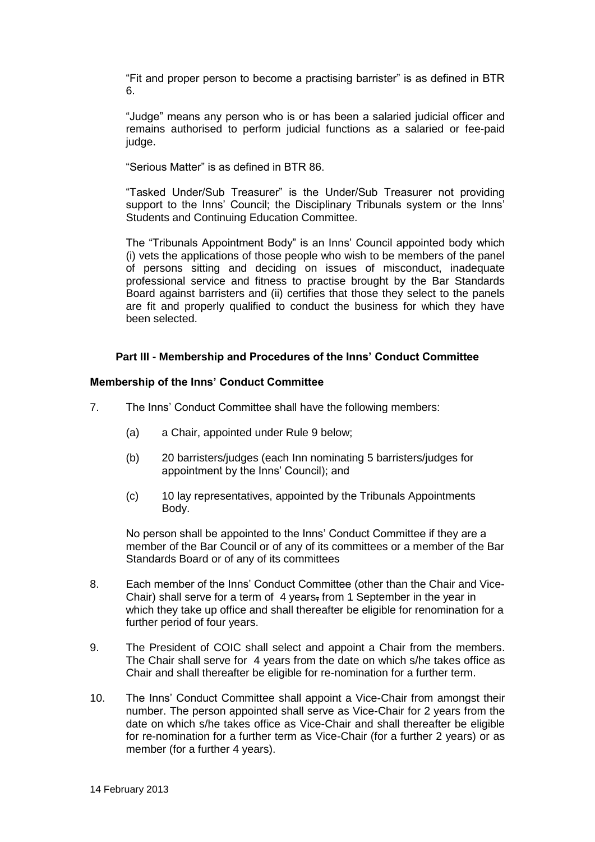"Fit and proper person to become a practising barrister" is as defined in BTR 6.

"Judge" means any person who is or has been a salaried judicial officer and remains authorised to perform judicial functions as a salaried or fee-paid judge.

"Serious Matter" is as defined in BTR 86.

"Tasked Under/Sub Treasurer" is the Under/Sub Treasurer not providing support to the Inns' Council; the Disciplinary Tribunals system or the Inns' Students and Continuing Education Committee.

The "Tribunals Appointment Body" is an Inns' Council appointed body which (i) vets the applications of those people who wish to be members of the panel of persons sitting and deciding on issues of misconduct, inadequate professional service and fitness to practise brought by the Bar Standards Board against barristers and (ii) certifies that those they select to the panels are fit and properly qualified to conduct the business for which they have been selected.

#### **Part III - Membership and Procedures of the Inns' Conduct Committee**

#### **Membership of the Inns' Conduct Committee**

- 7. The Inns' Conduct Committee shall have the following members:
	- (a) a Chair, appointed under Rule 9 below;
	- (b) 20 barristers/judges (each Inn nominating 5 barristers/judges for appointment by the Inns' Council); and
	- (c) 10 lay representatives, appointed by the Tribunals Appointments Body.

No person shall be appointed to the Inns' Conduct Committee if they are a member of the Bar Council or of any of its committees or a member of the Bar Standards Board or of any of its committees

- 8. Each member of the Inns' Conduct Committee (other than the Chair and Vice-Chair) shall serve for a term of 4 years, from 1 September in the year in which they take up office and shall thereafter be eligible for renomination for a further period of four years.
- 9. The President of COIC shall select and appoint a Chair from the members. The Chair shall serve for 4 years from the date on which s/he takes office as Chair and shall thereafter be eligible for re-nomination for a further term.
- 10. The Inns' Conduct Committee shall appoint a Vice-Chair from amongst their number. The person appointed shall serve as Vice-Chair for 2 years from the date on which s/he takes office as Vice-Chair and shall thereafter be eligible for re-nomination for a further term as Vice-Chair (for a further 2 years) or as member (for a further 4 years).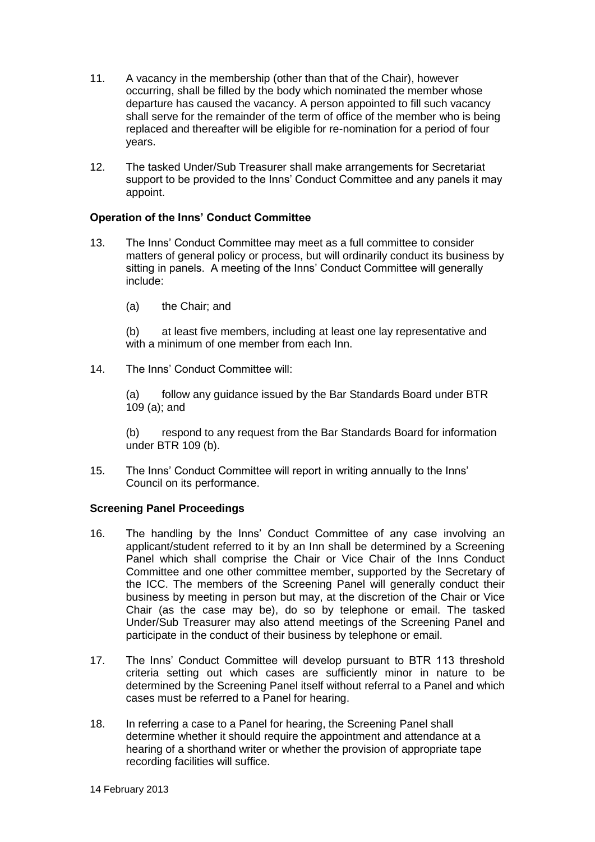- 11. A vacancy in the membership (other than that of the Chair), however occurring, shall be filled by the body which nominated the member whose departure has caused the vacancy. A person appointed to fill such vacancy shall serve for the remainder of the term of office of the member who is being replaced and thereafter will be eligible for re-nomination for a period of four years.
- 12. The tasked Under/Sub Treasurer shall make arrangements for Secretariat support to be provided to the Inns' Conduct Committee and any panels it may appoint.

# **Operation of the Inns' Conduct Committee**

- 13. The Inns' Conduct Committee may meet as a full committee to consider matters of general policy or process, but will ordinarily conduct its business by sitting in panels. A meeting of the Inns' Conduct Committee will generally include:
	- (a) the Chair; and

(b) at least five members, including at least one lay representative and with a minimum of one member from each Inn.

14. The Inns' Conduct Committee will:

(a) follow any guidance issued by the Bar Standards Board under BTR 109 (a); and

(b) respond to any request from the Bar Standards Board for information under BTR 109 (b).

15. The Inns' Conduct Committee will report in writing annually to the Inns' Council on its performance.

## **Screening Panel Proceedings**

- 16. The handling by the Inns' Conduct Committee of any case involving an applicant/student referred to it by an Inn shall be determined by a Screening Panel which shall comprise the Chair or Vice Chair of the Inns Conduct Committee and one other committee member, supported by the Secretary of the ICC. The members of the Screening Panel will generally conduct their business by meeting in person but may, at the discretion of the Chair or Vice Chair (as the case may be), do so by telephone or email. The tasked Under/Sub Treasurer may also attend meetings of the Screening Panel and participate in the conduct of their business by telephone or email.
- 17. The Inns' Conduct Committee will develop pursuant to BTR 113 threshold criteria setting out which cases are sufficiently minor in nature to be determined by the Screening Panel itself without referral to a Panel and which cases must be referred to a Panel for hearing.
- 18. In referring a case to a Panel for hearing, the Screening Panel shall determine whether it should require the appointment and attendance at a hearing of a shorthand writer or whether the provision of appropriate tape recording facilities will suffice.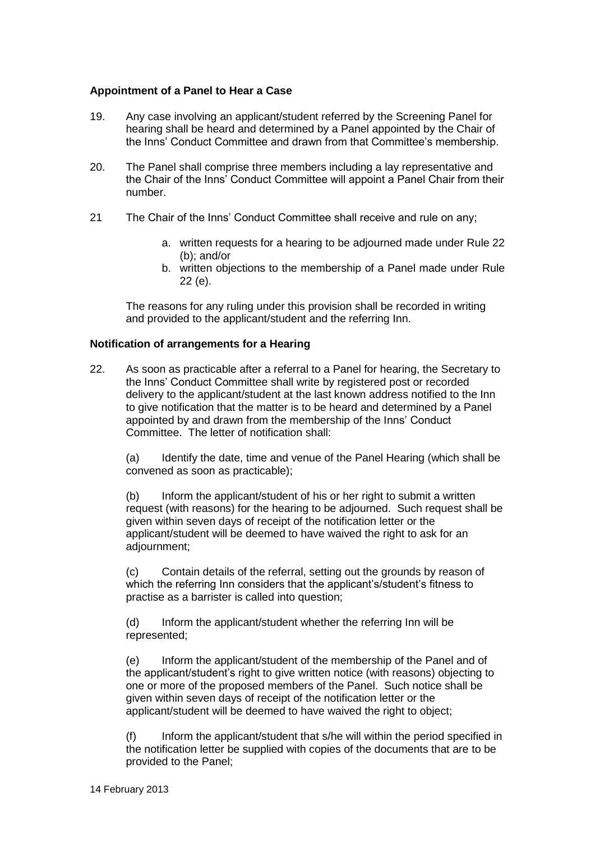### **Appointment of a Panel to Hear a Case**

- 19. Any case involving an applicant/student referred by the Screening Panel for hearing shall be heard and determined by a Panel appointed by the Chair of the Inns' Conduct Committee and drawn from that Committee's membership.
- 20. The Panel shall comprise three members including a lay representative and the Chair of the Inns' Conduct Committee will appoint a Panel Chair from their number.
- 21 The Chair of the Inns' Conduct Committee shall receive and rule on any;
	- a. written requests for a hearing to be adjourned made under Rule 22 (b); and/or
	- b. written objections to the membership of a Panel made under Rule 22 (e).

The reasons for any ruling under this provision shall be recorded in writing and provided to the applicant/student and the referring Inn.

#### **Notification of arrangements for a Hearing**

22. As soon as practicable after a referral to a Panel for hearing, the Secretary to the Inns' Conduct Committee shall write by registered post or recorded delivery to the applicant/student at the last known address notified to the Inn to give notification that the matter is to be heard and determined by a Panel appointed by and drawn from the membership of the Inns' Conduct Committee. The letter of notification shall:

(a) Identify the date, time and venue of the Panel Hearing (which shall be convened as soon as practicable);

(b) Inform the applicant/student of his or her right to submit a written request (with reasons) for the hearing to be adjourned. Such request shall be given within seven days of receipt of the notification letter or the applicant/student will be deemed to have waived the right to ask for an adjournment;

(c) Contain details of the referral, setting out the grounds by reason of which the referring Inn considers that the applicant's/student's fitness to practise as a barrister is called into question;

(d) Inform the applicant/student whether the referring Inn will be represented;

(e) Inform the applicant/student of the membership of the Panel and of the applicant/student's right to give written notice (with reasons) objecting to one or more of the proposed members of the Panel. Such notice shall be given within seven days of receipt of the notification letter or the applicant/student will be deemed to have waived the right to object;

(f) Inform the applicant/student that s/he will within the period specified in the notification letter be supplied with copies of the documents that are to be provided to the Panel;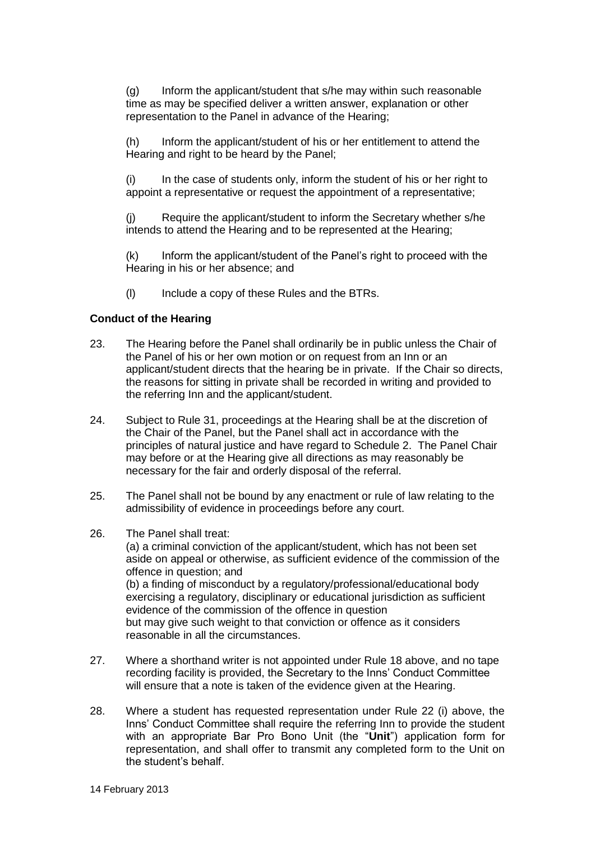(g) Inform the applicant/student that s/he may within such reasonable time as may be specified deliver a written answer, explanation or other representation to the Panel in advance of the Hearing;

(h) Inform the applicant/student of his or her entitlement to attend the Hearing and right to be heard by the Panel;

(i) In the case of students only, inform the student of his or her right to appoint a representative or request the appointment of a representative;

(j) Require the applicant/student to inform the Secretary whether s/he intends to attend the Hearing and to be represented at the Hearing;

(k) Inform the applicant/student of the Panel's right to proceed with the Hearing in his or her absence; and

(l) Include a copy of these Rules and the BTRs.

#### **Conduct of the Hearing**

- 23. The Hearing before the Panel shall ordinarily be in public unless the Chair of the Panel of his or her own motion or on request from an Inn or an applicant/student directs that the hearing be in private. If the Chair so directs, the reasons for sitting in private shall be recorded in writing and provided to the referring Inn and the applicant/student.
- 24. Subject to Rule 31, proceedings at the Hearing shall be at the discretion of the Chair of the Panel, but the Panel shall act in accordance with the principles of natural justice and have regard to Schedule 2. The Panel Chair may before or at the Hearing give all directions as may reasonably be necessary for the fair and orderly disposal of the referral.
- 25. The Panel shall not be bound by any enactment or rule of law relating to the admissibility of evidence in proceedings before any court.
- 26. The Panel shall treat:

(a) a criminal conviction of the applicant/student, which has not been set aside on appeal or otherwise, as sufficient evidence of the commission of the offence in question; and (b) a finding of misconduct by a regulatory/professional/educational body exercising a regulatory, disciplinary or educational jurisdiction as sufficient evidence of the commission of the offence in question but may give such weight to that conviction or offence as it considers reasonable in all the circumstances.

- 27. Where a shorthand writer is not appointed under Rule 18 above, and no tape recording facility is provided, the Secretary to the Inns' Conduct Committee will ensure that a note is taken of the evidence given at the Hearing.
- 28. Where a student has requested representation under Rule 22 (i) above, the Inns' Conduct Committee shall require the referring Inn to provide the student with an appropriate Bar Pro Bono Unit (the "**Unit**") application form for representation, and shall offer to transmit any completed form to the Unit on the student's behalf.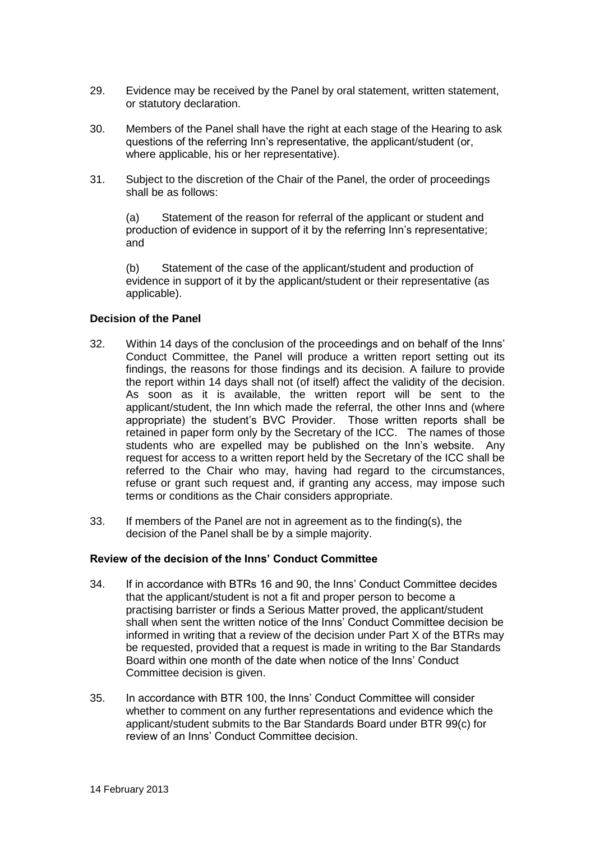- 29. Evidence may be received by the Panel by oral statement, written statement, or statutory declaration.
- 30. Members of the Panel shall have the right at each stage of the Hearing to ask questions of the referring Inn's representative, the applicant/student (or, where applicable, his or her representative).
- 31. Subject to the discretion of the Chair of the Panel, the order of proceedings shall be as follows:

(a) Statement of the reason for referral of the applicant or student and production of evidence in support of it by the referring Inn's representative; and

(b) Statement of the case of the applicant/student and production of evidence in support of it by the applicant/student or their representative (as applicable).

#### **Decision of the Panel**

- 32. Within 14 days of the conclusion of the proceedings and on behalf of the Inns' Conduct Committee, the Panel will produce a written report setting out its findings, the reasons for those findings and its decision. A failure to provide the report within 14 days shall not (of itself) affect the validity of the decision. As soon as it is available, the written report will be sent to the applicant/student, the Inn which made the referral, the other Inns and (where appropriate) the student's BVC Provider. Those written reports shall be retained in paper form only by the Secretary of the ICC. The names of those students who are expelled may be published on the Inn's website. Any request for access to a written report held by the Secretary of the ICC shall be referred to the Chair who may, having had regard to the circumstances, refuse or grant such request and, if granting any access, may impose such terms or conditions as the Chair considers appropriate.
- 33. If members of the Panel are not in agreement as to the finding(s), the decision of the Panel shall be by a simple majority.

## **Review of the decision of the Inns' Conduct Committee**

- 34. If in accordance with BTRs 16 and 90, the Inns' Conduct Committee decides that the applicant/student is not a fit and proper person to become a practising barrister or finds a Serious Matter proved, the applicant/student shall when sent the written notice of the Inns' Conduct Committee decision be informed in writing that a review of the decision under Part X of the BTRs may be requested, provided that a request is made in writing to the Bar Standards Board within one month of the date when notice of the Inns' Conduct Committee decision is given.
- 35. In accordance with BTR 100, the Inns' Conduct Committee will consider whether to comment on any further representations and evidence which the applicant/student submits to the Bar Standards Board under BTR 99(c) for review of an Inns' Conduct Committee decision.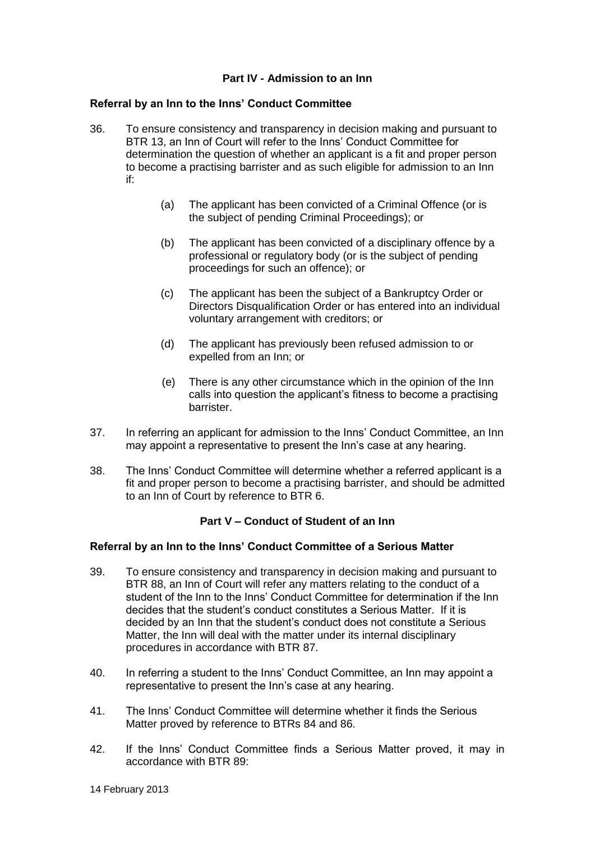## **Part IV - Admission to an Inn**

#### **Referral by an Inn to the Inns' Conduct Committee**

- 36. To ensure consistency and transparency in decision making and pursuant to BTR 13, an Inn of Court will refer to the Inns' Conduct Committee for determination the question of whether an applicant is a fit and proper person to become a practising barrister and as such eligible for admission to an Inn if:
	- (a) The applicant has been convicted of a Criminal Offence (or is the subject of pending Criminal Proceedings); or
	- (b) The applicant has been convicted of a disciplinary offence by a professional or regulatory body (or is the subject of pending proceedings for such an offence); or
	- (c) The applicant has been the subject of a Bankruptcy Order or Directors Disqualification Order or has entered into an individual voluntary arrangement with creditors; or
	- (d) The applicant has previously been refused admission to or expelled from an Inn; or
	- (e) There is any other circumstance which in the opinion of the Inn calls into question the applicant's fitness to become a practising barrister.
- 37. In referring an applicant for admission to the Inns' Conduct Committee, an Inn may appoint a representative to present the Inn's case at any hearing.
- 38. The Inns' Conduct Committee will determine whether a referred applicant is a fit and proper person to become a practising barrister, and should be admitted to an Inn of Court by reference to BTR 6.

## **Part V – Conduct of Student of an Inn**

## **Referral by an Inn to the Inns' Conduct Committee of a Serious Matter**

- 39. To ensure consistency and transparency in decision making and pursuant to BTR 88, an Inn of Court will refer any matters relating to the conduct of a student of the Inn to the Inns' Conduct Committee for determination if the Inn decides that the student's conduct constitutes a Serious Matter. If it is decided by an Inn that the student's conduct does not constitute a Serious Matter, the Inn will deal with the matter under its internal disciplinary procedures in accordance with BTR 87.
- 40. In referring a student to the Inns' Conduct Committee, an Inn may appoint a representative to present the Inn's case at any hearing.
- 41. The Inns' Conduct Committee will determine whether it finds the Serious Matter proved by reference to BTRs 84 and 86.
- 42. If the Inns' Conduct Committee finds a Serious Matter proved, it may in accordance with BTR 89: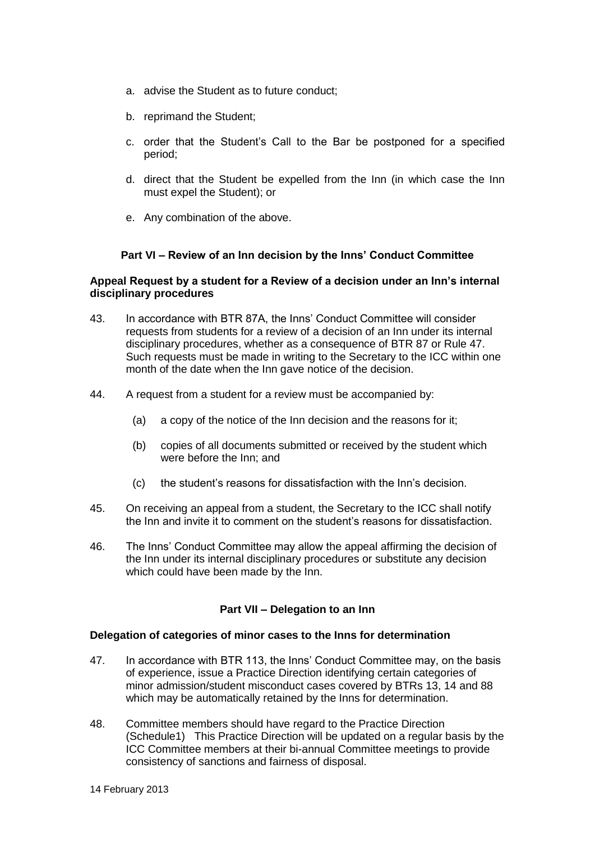- a. advise the Student as to future conduct;
- b. reprimand the Student;
- c. order that the Student's Call to the Bar be postponed for a specified period;
- d. direct that the Student be expelled from the Inn (in which case the Inn must expel the Student); or
- e. Any combination of the above.

## **Part VI – Review of an Inn decision by the Inns' Conduct Committee**

#### **Appeal Request by a student for a Review of a decision under an Inn's internal disciplinary procedures**

- 43. In accordance with BTR 87A, the Inns' Conduct Committee will consider requests from students for a review of a decision of an Inn under its internal disciplinary procedures, whether as a consequence of BTR 87 or Rule 47. Such requests must be made in writing to the Secretary to the ICC within one month of the date when the Inn gave notice of the decision.
- 44. A request from a student for a review must be accompanied by:
	- (a) a copy of the notice of the Inn decision and the reasons for it;
	- (b) copies of all documents submitted or received by the student which were before the Inn; and
	- (c) the student's reasons for dissatisfaction with the Inn's decision.
- 45. On receiving an appeal from a student, the Secretary to the ICC shall notify the Inn and invite it to comment on the student's reasons for dissatisfaction.
- 46. The Inns' Conduct Committee may allow the appeal affirming the decision of the Inn under its internal disciplinary procedures or substitute any decision which could have been made by the Inn.

#### **Part VII – Delegation to an Inn**

#### **Delegation of categories of minor cases to the Inns for determination**

- 47. In accordance with BTR 113, the Inns' Conduct Committee may, on the basis of experience, issue a Practice Direction identifying certain categories of minor admission/student misconduct cases covered by BTRs 13, 14 and 88 which may be automatically retained by the Inns for determination.
- 48. Committee members should have regard to the Practice Direction (Schedule1) This Practice Direction will be updated on a regular basis by the ICC Committee members at their bi-annual Committee meetings to provide consistency of sanctions and fairness of disposal.